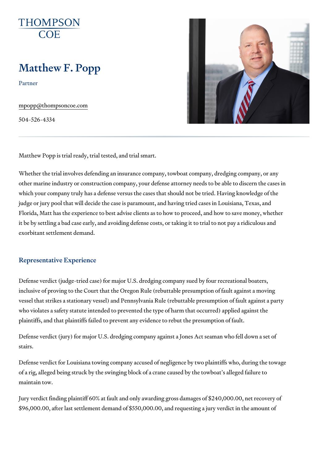# Matthew F. Popp

Partner

[mpopp@thompson](mailto:mpopp@thompsoncoe.com)coe.com

504-526-4334

Matthew Popp is trial ready, trial tested, and trial smart.

Whether the trial involves defending an insurance company, towboat compa other marine industry or construction company, your defense attorney need which your company truly has a defense versus the cases that should not b judge or jury pool that will decide the case is paramount, and having tried Florida, Matt has the experience to best advise clients as to how to procee it be by settling a bad case early, and avoiding defense costs, or taking it exorbitant settlement demand.

#### Representative Experience

Defense verdict (judge-tried case) for major U.S. dredging company sued b inclusive of proving to the Court that the Oregon Rule (rebuttable presump vessel that strikes a stationary vessel) and Pennsylvania Rule (rebuttable who violates a safety statute intended to prevented the type of harm that o plaintiffs, and that plaintiffs failed to prevent any evidence to rebut the pi

Defense verdict (jury) for major U.S. dredging company against a Jones Act stairs.

Defense verdict for Louisiana towing company accused of negligence by two of a rig, alleged being struck by the swinging block of a crane caused by t maintain tow.

Jury verdict finding plaintiff 60% at fault and only awarding gross damages \$96,000.00, after last settlement demand of \$550,000.00, and requesting a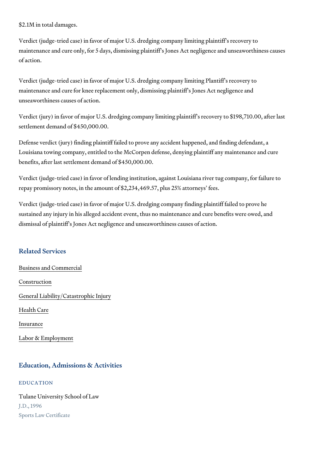\$2.1M in total damages.

Verdict (judge-tried case) in favor of major U.S. dredging company limiting maintenance and cure only, for 5 days, dismissing plaintiff s Jones Act neg of action.

Verdict (judge-tried case) in favor of major U.S. dredging company limiting maintenance and cure for knee replacement only, dismissing plaintiff s Jor unseaworthiness causes of action.

Verdict (jury) in favor of major U.S. dredging company limiting plaintiff s r settlement demand of \$450,000.00.

Defense verdict (jury) finding plaintiff failed to prove any accident happen Louisiana towing company, entitled to the McCorpen defense, denying plaint benefits, after last settlement demand of \$450,000.00.

Verdict (judge-tried case) in favor of lending institution, against Louisiana repay promissory notes, in the amount of \$2,234,469.57, plus 25% attorney

Verdict (judge-tried case) in favor of major U.S. dredging company finding sustained any injury in his alleged accident event, thus no maintenance an dismissal of plaintiff s Jones Act negligence and unseaworthiness causes

#### Related Services

[Business and C](https://www.thompsoncoe.com/people/matthew-f-popp/)ommercial

[Constru](https://www.thompsoncoe.com/people/matthew-f-popp/)ction

[General Liability/Catas](https://www.thompsoncoe.com/people/matthew-f-popp/)trophic Injury

[Health](https://www.thompsoncoe.com/people/matthew-f-popp/) Care

[Insura](https://www.thompsoncoe.com/people/matthew-f-popp/)nce

[Labor & Empl](https://www.thompsoncoe.com/people/matthew-f-popp/)oyment

#### Education, Admissions & Activities

EDUCATION

Tulane University School of Law J.D., 1996 Sports Law Certificate